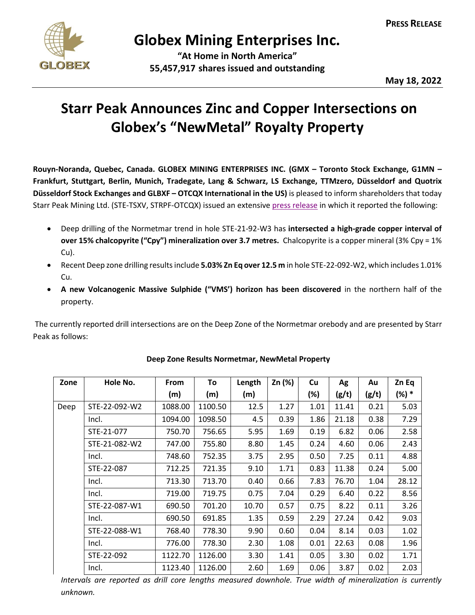

## **Globex Mining Enterprises Inc.**

**"At Home in North America" 55,457,917 shares issued and outstanding**

**May 18, 2022**

## **Starr Peak Announces Zinc and Copper Intersections on Globex's "NewMetal" Royalty Property**

**Rouyn-Noranda, Quebec, Canada. GLOBEX MINING ENTERPRISES INC. (GMX – Toronto Stock Exchange, G1MN – Frankfurt, Stuttgart, Berlin, Munich, Tradegate, Lang & Schwarz, LS Exchange, TTMzero, Düsseldorf and Quotrix Düsseldorf Stock Exchanges and GLBXF – OTCQX International in the US)** is pleased to inform shareholders that today Starr Peak Mining Ltd. (STE-TSXV, STRPF-OTCQX) issued an extensive [press release](https://starrpeakminingltd.com/news/2022/) in which it reported the following:

- Deep drilling of the Normetmar trend in hole STE-21-92-W3 has **intersected a high-grade copper interval of over 15% chalcopyrite ("Cpy") mineralization over 3.7 metres.** Chalcopyrite is a copper mineral (3% Cpy = 1% Cu).
- Recent Deep zone drilling results include **5.03% Zn Eq over 12.5 m** in hole STE-22-092-W2, which includes 1.01% Cu.
- **A new Volcanogenic Massive Sulphide ("VMS') horizon has been discovered** in the northern half of the property.

The currently reported drill intersections are on the Deep Zone of the Normetmar orebody and are presented by Starr Peak as follows:

| Zone | Hole No.      | <b>From</b> | To      | Length | Zn (%) | <b>Cu</b> | Ag    | Au    | Zn Eq   |
|------|---------------|-------------|---------|--------|--------|-----------|-------|-------|---------|
|      |               | (m)         | (m)     | (m)    |        | (%)       | (g/t) | (g/t) | $(%) *$ |
| Deep | STE-22-092-W2 | 1088.00     | 1100.50 | 12.5   | 1.27   | 1.01      | 11.41 | 0.21  | 5.03    |
|      | Incl.         | 1094.00     | 1098.50 | 4.5    | 0.39   | 1.86      | 21.18 | 0.38  | 7.29    |
|      | STE-21-077    | 750.70      | 756.65  | 5.95   | 1.69   | 0.19      | 6.82  | 0.06  | 2.58    |
|      | STE-21-082-W2 | 747.00      | 755.80  | 8.80   | 1.45   | 0.24      | 4.60  | 0.06  | 2.43    |
|      | Incl.         | 748.60      | 752.35  | 3.75   | 2.95   | 0.50      | 7.25  | 0.11  | 4.88    |
|      | STE-22-087    | 712.25      | 721.35  | 9.10   | 1.71   | 0.83      | 11.38 | 0.24  | 5.00    |
|      | Incl.         | 713.30      | 713.70  | 0.40   | 0.66   | 7.83      | 76.70 | 1.04  | 28.12   |
|      | Incl.         | 719.00      | 719.75  | 0.75   | 7.04   | 0.29      | 6.40  | 0.22  | 8.56    |
|      | STE-22-087-W1 | 690.50      | 701.20  | 10.70  | 0.57   | 0.75      | 8.22  | 0.11  | 3.26    |
|      | Incl.         | 690.50      | 691.85  | 1.35   | 0.59   | 2.29      | 27.24 | 0.42  | 9.03    |
|      | STE-22-088-W1 | 768.40      | 778.30  | 9.90   | 0.60   | 0.04      | 8.14  | 0.03  | 1.02    |
|      | Incl.         | 776.00      | 778.30  | 2.30   | 1.08   | 0.01      | 22.63 | 0.08  | 1.96    |
|      | STE-22-092    | 1122.70     | 1126.00 | 3.30   | 1.41   | 0.05      | 3.30  | 0.02  | 1.71    |
|      | Incl.         | 1123.40     | 1126.00 | 2.60   | 1.69   | 0.06      | 3.87  | 0.02  | 2.03    |

## **Deep Zone Results Normetmar, NewMetal Property**

*Intervals are reported as drill core lengths measured downhole. True width of mineralization is currently unknown.*